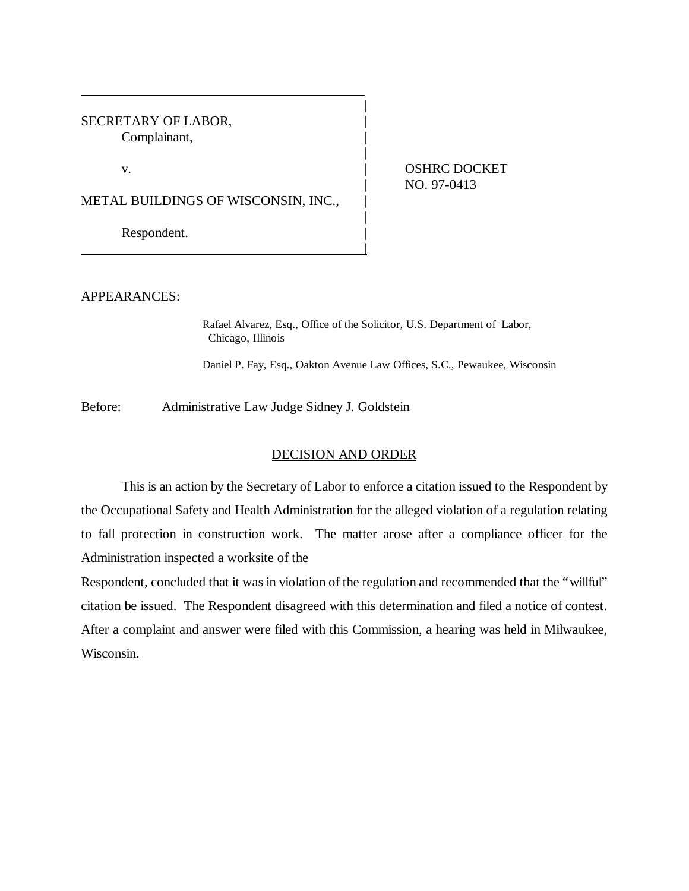SECRETARY OF LABOR, Complainant, |

v. **ICLOSED CONTRACT OSHRC DOCKET** | NO. 97-0413

METAL BUILDINGS OF WISCONSIN, INC.,

|

Respondent.

APPEARANCES:

Rafael Alvarez, Esq., Office of the Solicitor, U.S. Department of Labor, Chicago, Illinois

|

|

|

Daniel P. Fay, Esq., Oakton Avenue Law Offices, S.C., Pewaukee, Wisconsin

Before: Administrative Law Judge Sidney J. Goldstein

## DECISION AND ORDER

This is an action by the Secretary of Labor to enforce a citation issued to the Respondent by the Occupational Safety and Health Administration for the alleged violation of a regulation relating to fall protection in construction work. The matter arose after a compliance officer for the Administration inspected a worksite of the

Respondent, concluded that it was in violation of the regulation and recommended that the "willful" citation be issued. The Respondent disagreed with this determination and filed a notice of contest. After a complaint and answer were filed with this Commission, a hearing was held in Milwaukee, Wisconsin.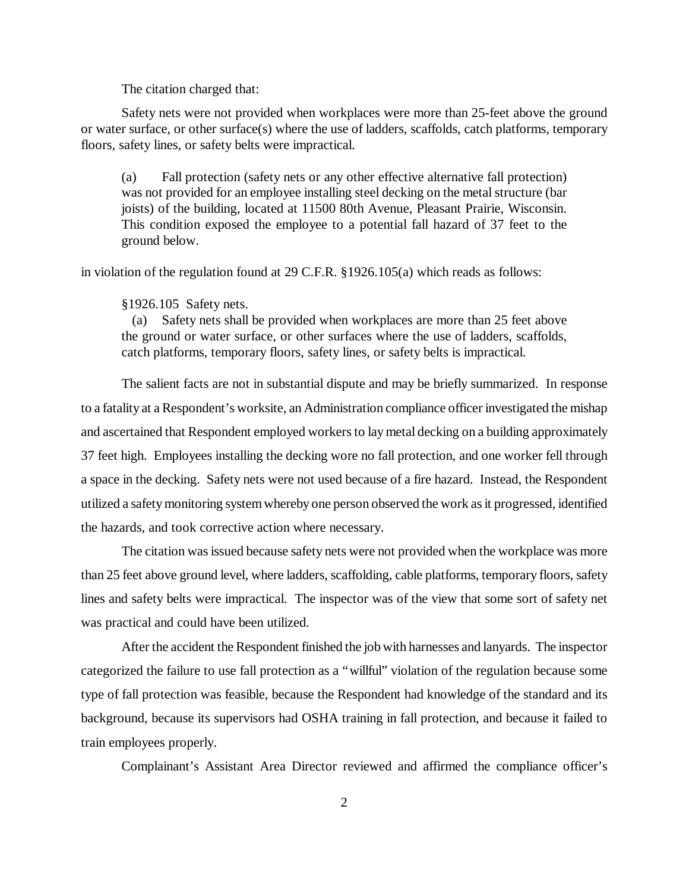The citation charged that:

Safety nets were not provided when workplaces were more than 25-feet above the ground or water surface, or other surface(s) where the use of ladders, scaffolds, catch platforms, temporary floors, safety lines, or safety belts were impractical.

(a) Fall protection (safety nets or any other effective alternative fall protection) was not provided for an employee installing steel decking on the metal structure (bar joists) of the building, located at 11500 80th Avenue, Pleasant Prairie, Wisconsin. This condition exposed the employee to a potential fall hazard of 37 feet to the ground below.

in violation of the regulation found at 29 C.F.R. §1926.105(a) which reads as follows:

## §1926.105 Safety nets.

 (a) Safety nets shall be provided when workplaces are more than 25 feet above the ground or water surface, or other surfaces where the use of ladders, scaffolds, catch platforms, temporary floors, safety lines, or safety belts is impractical.

The salient facts are not in substantial dispute and may be briefly summarized. In response to a fatality at a Respondent's worksite, an Administration compliance officer investigated the mishap and ascertained that Respondent employed workers to lay metal decking on a building approximately 37 feet high. Employees installing the decking wore no fall protection, and one worker fell through a space in the decking. Safety nets were not used because of a fire hazard. Instead, the Respondent utilized a safety monitoring system whereby one person observed the work as it progressed, identified the hazards, and took corrective action where necessary.

The citation was issued because safety nets were not provided when the workplace was more than 25 feet above ground level, where ladders, scaffolding, cable platforms, temporary floors, safety lines and safety belts were impractical. The inspector was of the view that some sort of safety net was practical and could have been utilized.

After the accident the Respondent finished the job with harnesses and lanyards. The inspector categorized the failure to use fall protection as a "willful" violation of the regulation because some type of fall protection was feasible, because the Respondent had knowledge of the standard and its background, because its supervisors had OSHA training in fall protection, and because it failed to train employees properly.

Complainant's Assistant Area Director reviewed and affirmed the compliance officer's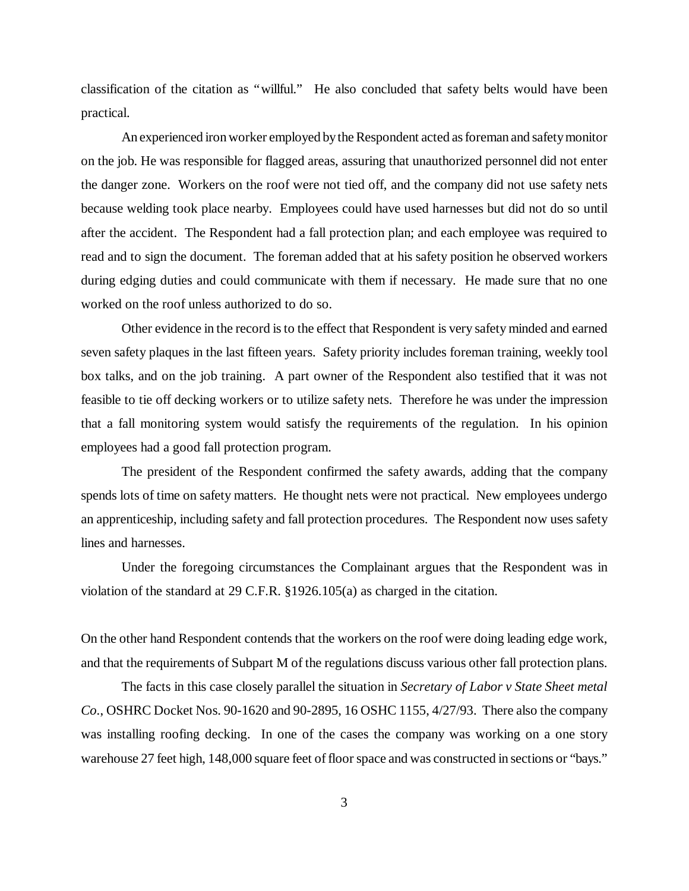classification of the citation as "willful." He also concluded that safety belts would have been practical.

An experienced iron worker employed by the Respondent acted as foreman and safety monitor on the job. He was responsible for flagged areas, assuring that unauthorized personnel did not enter the danger zone. Workers on the roof were not tied off, and the company did not use safety nets because welding took place nearby. Employees could have used harnesses but did not do so until after the accident. The Respondent had a fall protection plan; and each employee was required to read and to sign the document. The foreman added that at his safety position he observed workers during edging duties and could communicate with them if necessary. He made sure that no one worked on the roof unless authorized to do so.

Other evidence in the record is to the effect that Respondent is very safety minded and earned seven safety plaques in the last fifteen years. Safety priority includes foreman training, weekly tool box talks, and on the job training. A part owner of the Respondent also testified that it was not feasible to tie off decking workers or to utilize safety nets. Therefore he was under the impression that a fall monitoring system would satisfy the requirements of the regulation. In his opinion employees had a good fall protection program.

The president of the Respondent confirmed the safety awards, adding that the company spends lots of time on safety matters. He thought nets were not practical. New employees undergo an apprenticeship, including safety and fall protection procedures. The Respondent now uses safety lines and harnesses.

Under the foregoing circumstances the Complainant argues that the Respondent was in violation of the standard at 29 C.F.R. §1926.105(a) as charged in the citation.

On the other hand Respondent contends that the workers on the roof were doing leading edge work, and that the requirements of Subpart M of the regulations discuss various other fall protection plans.

The facts in this case closely parallel the situation in *Secretary of Labor v State Sheet metal Co*., OSHRC Docket Nos. 90-1620 and 90-2895, 16 OSHC 1155, 4/27/93. There also the company was installing roofing decking. In one of the cases the company was working on a one story warehouse 27 feet high, 148,000 square feet of floor space and was constructed in sections or "bays."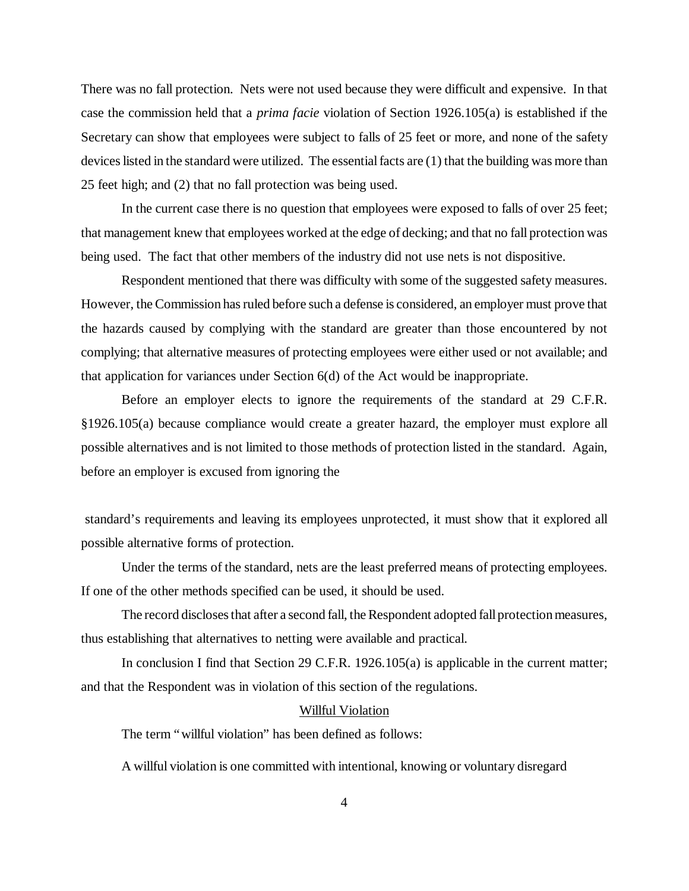There was no fall protection. Nets were not used because they were difficult and expensive. In that case the commission held that a *prima facie* violation of Section 1926.105(a) is established if the Secretary can show that employees were subject to falls of 25 feet or more, and none of the safety devices listed in the standard were utilized. The essential facts are (1) that the building was more than 25 feet high; and (2) that no fall protection was being used.

In the current case there is no question that employees were exposed to falls of over 25 feet; that management knew that employees worked at the edge of decking; and that no fall protection was being used. The fact that other members of the industry did not use nets is not dispositive.

Respondent mentioned that there was difficulty with some of the suggested safety measures. However, the Commission has ruled before such a defense is considered, an employer must prove that the hazards caused by complying with the standard are greater than those encountered by not complying; that alternative measures of protecting employees were either used or not available; and that application for variances under Section 6(d) of the Act would be inappropriate.

Before an employer elects to ignore the requirements of the standard at 29 C.F.R. §1926.105(a) because compliance would create a greater hazard, the employer must explore all possible alternatives and is not limited to those methods of protection listed in the standard. Again, before an employer is excused from ignoring the

 standard's requirements and leaving its employees unprotected, it must show that it explored all possible alternative forms of protection.

Under the terms of the standard, nets are the least preferred means of protecting employees. If one of the other methods specified can be used, it should be used.

The record discloses that after a second fall, the Respondent adopted fall protection measures, thus establishing that alternatives to netting were available and practical.

In conclusion I find that Section 29 C.F.R. 1926.105(a) is applicable in the current matter; and that the Respondent was in violation of this section of the regulations.

## Willful Violation

The term "willful violation" has been defined as follows:

A willful violation is one committed with intentional, knowing or voluntary disregard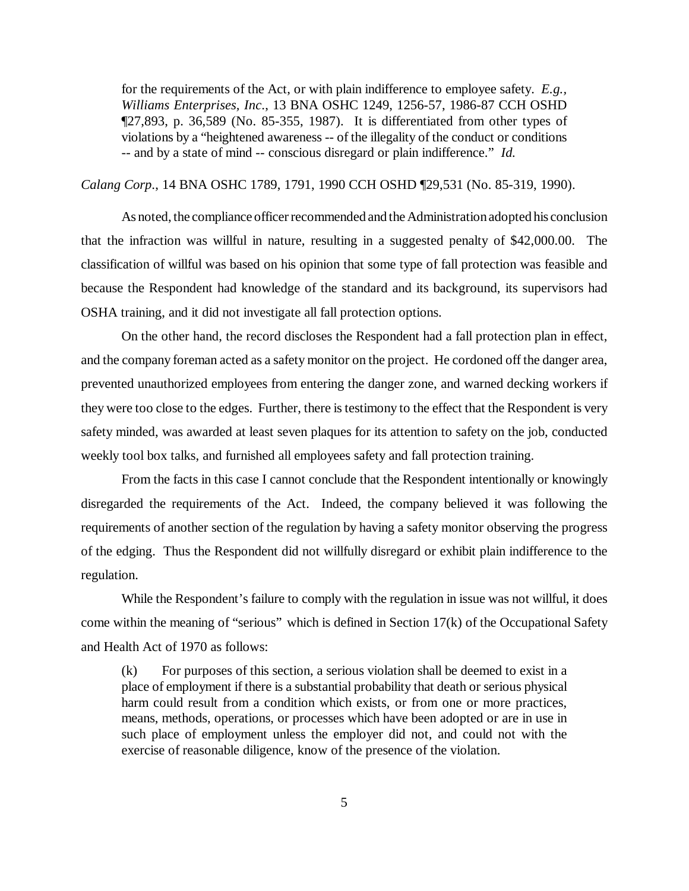for the requirements of the Act, or with plain indifference to employee safety. *E.g., Williams Enterprises, Inc*., 13 BNA OSHC 1249, 1256-57, 1986-87 CCH OSHD ¶27,893, p. 36,589 (No. 85-355, 1987). It is differentiated from other types of violations by a "heightened awareness -- of the illegality of the conduct or conditions -- and by a state of mind -- conscious disregard or plain indifference." *Id.*

*Calang Corp*., 14 BNA OSHC 1789, 1791, 1990 CCH OSHD ¶29,531 (No. 85-319, 1990).

As noted, the compliance officer recommended and the Administration adopted his conclusion that the infraction was willful in nature, resulting in a suggested penalty of \$42,000.00. The classification of willful was based on his opinion that some type of fall protection was feasible and because the Respondent had knowledge of the standard and its background, its supervisors had OSHA training, and it did not investigate all fall protection options.

On the other hand, the record discloses the Respondent had a fall protection plan in effect, and the company foreman acted as a safety monitor on the project. He cordoned off the danger area, prevented unauthorized employees from entering the danger zone, and warned decking workers if they were too close to the edges. Further, there is testimony to the effect that the Respondent is very safety minded, was awarded at least seven plaques for its attention to safety on the job, conducted weekly tool box talks, and furnished all employees safety and fall protection training.

From the facts in this case I cannot conclude that the Respondent intentionally or knowingly disregarded the requirements of the Act. Indeed, the company believed it was following the requirements of another section of the regulation by having a safety monitor observing the progress of the edging. Thus the Respondent did not willfully disregard or exhibit plain indifference to the regulation.

While the Respondent's failure to comply with the regulation in issue was not willful, it does come within the meaning of "serious" which is defined in Section 17(k) of the Occupational Safety and Health Act of 1970 as follows:

(k) For purposes of this section, a serious violation shall be deemed to exist in a place of employment if there is a substantial probability that death or serious physical harm could result from a condition which exists, or from one or more practices, means, methods, operations, or processes which have been adopted or are in use in such place of employment unless the employer did not, and could not with the exercise of reasonable diligence, know of the presence of the violation.